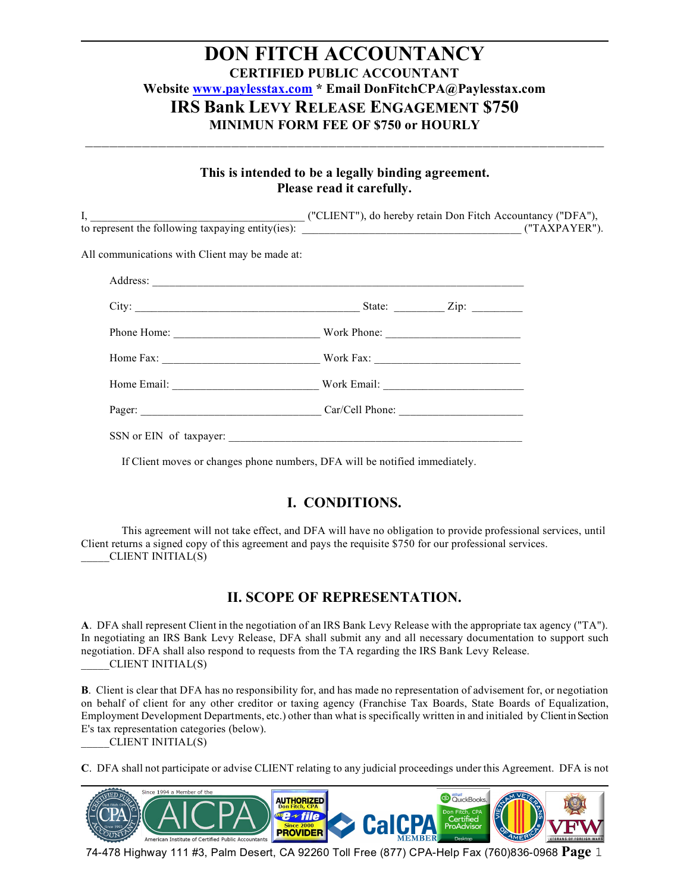#### **This is intended to be a legally binding agreement. Please read it carefully.**

\_\_\_\_\_\_\_\_\_\_\_\_\_\_\_\_\_\_\_\_\_\_\_\_\_\_\_\_\_\_\_\_\_\_\_\_\_\_\_\_\_\_\_\_\_\_\_\_\_\_\_\_\_\_\_\_\_\_\_\_\_\_\_\_

| ("CLIENT"), do hereby retain Don Fitch Accountancy ("DFA"), |                                                                             |
|-------------------------------------------------------------|-----------------------------------------------------------------------------|
|                                                             |                                                                             |
|                                                             |                                                                             |
|                                                             |                                                                             |
|                                                             |                                                                             |
|                                                             |                                                                             |
|                                                             |                                                                             |
|                                                             |                                                                             |
|                                                             |                                                                             |
|                                                             | to represent the following taxpaying entity(ies):<br>Pager: Car/Cell Phone: |

If Client moves or changes phone numbers, DFA will be notified immediately.

#### **I. CONDITIONS.**

This agreement will not take effect, and DFA will have no obligation to provide professional services, until Client returns a signed copy of this agreement and pays the requisite \$750 for our professional services. \_\_\_\_\_CLIENT INITIAL(S)

#### **II. SCOPE OF REPRESENTATION.**

**A**. DFA shall represent Client in the negotiation of an IRS Bank Levy Release with the appropriate tax agency ("TA"). In negotiating an IRS Bank Levy Release, DFA shall submit any and all necessary documentation to support such negotiation. DFA shall also respond to requests from the TA regarding the IRS Bank Levy Release. \_\_\_\_\_CLIENT INITIAL(S)

**B**. Client is clear that DFA has no responsibility for, and has made no representation of advisement for, or negotiation on behalf of client for any other creditor or taxing agency (Franchise Tax Boards, State Boards of Equalization, Employment Development Departments, etc.) other than what is specifically written in and initialed by Client in Section E's tax representation categories (below).

\_\_\_\_\_CLIENT INITIAL(S)

**C**. DFA shall not participate or advise CLIENT relating to any judicial proceedings under this Agreement. DFA is not

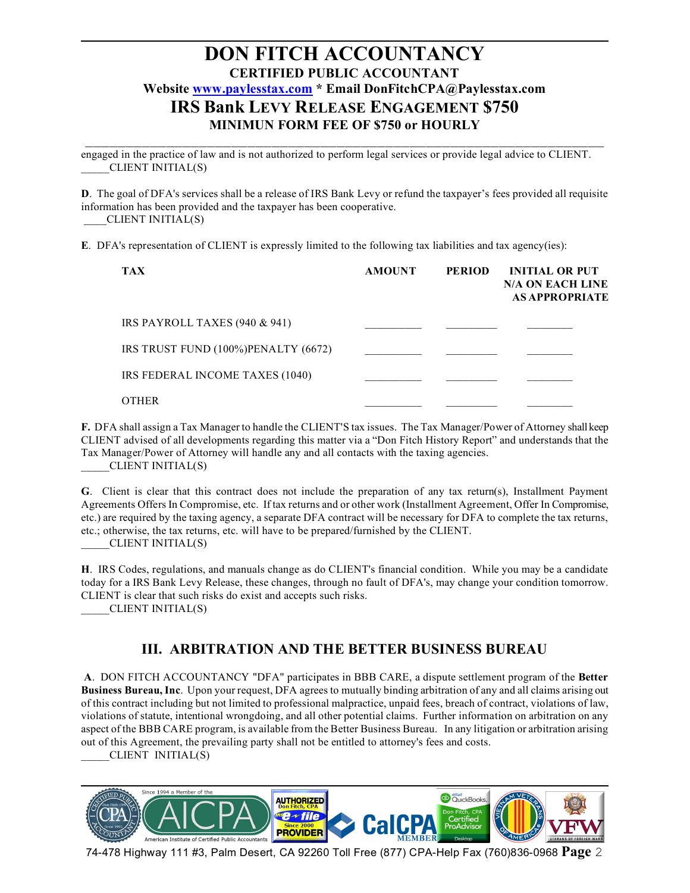\_\_\_\_\_\_\_\_\_\_\_\_\_\_\_\_\_\_\_\_\_\_\_\_\_\_\_\_\_\_\_\_\_\_\_\_\_\_\_\_\_\_\_\_\_\_\_\_\_\_\_\_\_\_\_\_\_\_\_\_\_\_\_\_ engaged in the practice of law and is not authorized to perform legal services or provide legal advice to CLIENT. \_\_\_\_\_CLIENT INITIAL(S)

**D**. The goal of DFA's services shall be a release of IRS Bank Levy or refund the taxpayer's fees provided all requisite information has been provided and the taxpayer has been cooperative. \_\_\_\_CLIENT INITIAL(S)

**E**. DFA's representation of CLIENT is expressly limited to the following tax liabilities and tax agency(ies):

| <b>TAX</b>                          | <b>AMOUNT</b> | <b>PERIOD</b> | <b>INITIAL OR PUT</b><br><b>N/A ON EACH LINE</b><br><b>AS APPROPRIATE</b> |
|-------------------------------------|---------------|---------------|---------------------------------------------------------------------------|
| IRS PAYROLL TAXES $(940 \& 941)$    |               |               |                                                                           |
| IRS TRUST FUND (100%)PENALTY (6672) |               |               |                                                                           |
| IRS FEDERAL INCOME TAXES (1040)     |               |               |                                                                           |
| <b>OTHER</b>                        |               |               |                                                                           |

**F.** DFA shall assign a Tax Manager to handle the CLIENT'S tax issues. The Tax Manager/Power of Attorney shall keep CLIENT advised of all developments regarding this matter via a "Don Fitch History Report" and understands that the Tax Manager/Power of Attorney will handle any and all contacts with the taxing agencies. \_\_\_\_\_CLIENT INITIAL(S)

**G**. Client is clear that this contract does not include the preparation of any tax return(s), Installment Payment Agreements Offers In Compromise, etc. If tax returns and or other work (Installment Agreement, Offer In Compromise, etc.) are required by the taxing agency, a separate DFA contract will be necessary for DFA to complete the tax returns, etc.; otherwise, the tax returns, etc. will have to be prepared/furnished by the CLIENT.

\_\_\_\_\_CLIENT INITIAL(S)

**H**. IRS Codes, regulations, and manuals change as do CLIENT's financial condition. While you may be a candidate today for a IRS Bank Levy Release, these changes, through no fault of DFA's, may change your condition tomorrow. CLIENT is clear that such risks do exist and accepts such risks.

\_\_\_\_\_CLIENT INITIAL(S)

#### **III. ARBITRATION AND THE BETTER BUSINESS BUREAU**

**A**. DON FITCH ACCOUNTANCY "DFA" participates in BBB CARE, a dispute settlement program of the **Better Business Bureau, Inc**. Upon your request, DFA agrees to mutually binding arbitration of any and all claims arising out of this contract including but not limited to professional malpractice, unpaid fees, breach of contract, violations of law, violations of statute, intentional wrongdoing, and all other potential claims. Further information on arbitration on any aspect of the BBB CARE program, is available from the Better Business Bureau. In any litigation or arbitration arising out of this Agreement, the prevailing party shall not be entitled to attorney's fees and costs. \_\_\_\_\_CLIENT INITIAL(S)

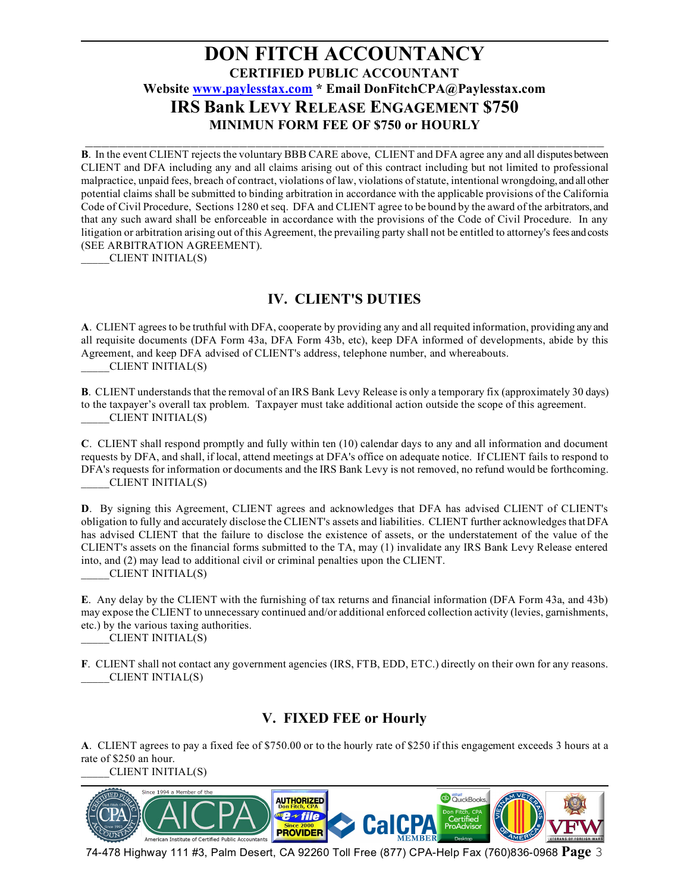\_\_\_\_\_\_\_\_\_\_\_\_\_\_\_\_\_\_\_\_\_\_\_\_\_\_\_\_\_\_\_\_\_\_\_\_\_\_\_\_\_\_\_\_\_\_\_\_\_\_\_\_\_\_\_\_\_\_\_\_\_\_\_\_ **B**. In the event CLIENT rejects the voluntary BBB CARE above, CLIENT and DFA agree any and all disputes between CLIENT and DFA including any and all claims arising out of this contract including but not limited to professional malpractice, unpaid fees, breach of contract, violations of law, violations of statute, intentional wrongdoing, and all other potential claims shall be submitted to binding arbitration in accordance with the applicable provisions of the California Code of Civil Procedure, Sections 1280 et seq. DFA and CLIENT agree to be bound by the award of the arbitrators, and that any such award shall be enforceable in accordance with the provisions of the Code of Civil Procedure. In any litigation or arbitration arising out of this Agreement, the prevailing party shall not be entitled to attorney's fees and costs (SEE ARBITRATION AGREEMENT).

\_\_\_\_\_CLIENT INITIAL(S)

### **IV. CLIENT'S DUTIES**

**A**. CLIENT agrees to be truthful with DFA, cooperate by providing any and all requited information, providing any and all requisite documents (DFA Form 43a, DFA Form 43b, etc), keep DFA informed of developments, abide by this Agreement, and keep DFA advised of CLIENT's address, telephone number, and whereabouts. \_\_\_\_\_CLIENT INITIAL(S)

**B**. CLIENT understands that the removal of an IRS Bank Levy Release is only a temporary fix (approximately 30 days) to the taxpayer's overall tax problem. Taxpayer must take additional action outside the scope of this agreement. \_\_\_\_\_CLIENT INITIAL(S)

**C**. CLIENT shall respond promptly and fully within ten (10) calendar days to any and all information and document requests by DFA, and shall, if local, attend meetings at DFA's office on adequate notice. If CLIENT fails to respond to DFA's requests for information or documents and the IRS Bank Levy is not removed, no refund would be forthcoming. \_\_\_\_\_CLIENT INITIAL(S)

**D**. By signing this Agreement, CLIENT agrees and acknowledges that DFA has advised CLIENT of CLIENT's obligation to fully and accurately disclose the CLIENT's assets and liabilities. CLIENT further acknowledges that DFA has advised CLIENT that the failure to disclose the existence of assets, or the understatement of the value of the CLIENT's assets on the financial forms submitted to the TA, may (1) invalidate any IRS Bank Levy Release entered into, and (2) may lead to additional civil or criminal penalties upon the CLIENT.

\_\_\_\_\_CLIENT INITIAL(S)

**E**. Any delay by the CLIENT with the furnishing of tax returns and financial information (DFA Form 43a, and 43b) may expose the CLIENT to unnecessary continued and/or additional enforced collection activity (levies, garnishments, etc.) by the various taxing authorities.

\_\_\_\_\_CLIENT INITIAL(S)

**F**. CLIENT shall not contact any government agencies (IRS, FTB, EDD, ETC.) directly on their own for any reasons. \_\_\_\_\_CLIENT INTIAL(S)

# **V. FIXED FEE or Hourly**

**A**. CLIENT agrees to pay a fixed fee of \$750.00 or to the hourly rate of \$250 if this engagement exceeds 3 hours at a rate of \$250 an hour.

\_\_\_\_\_CLIENT INITIAL(S)

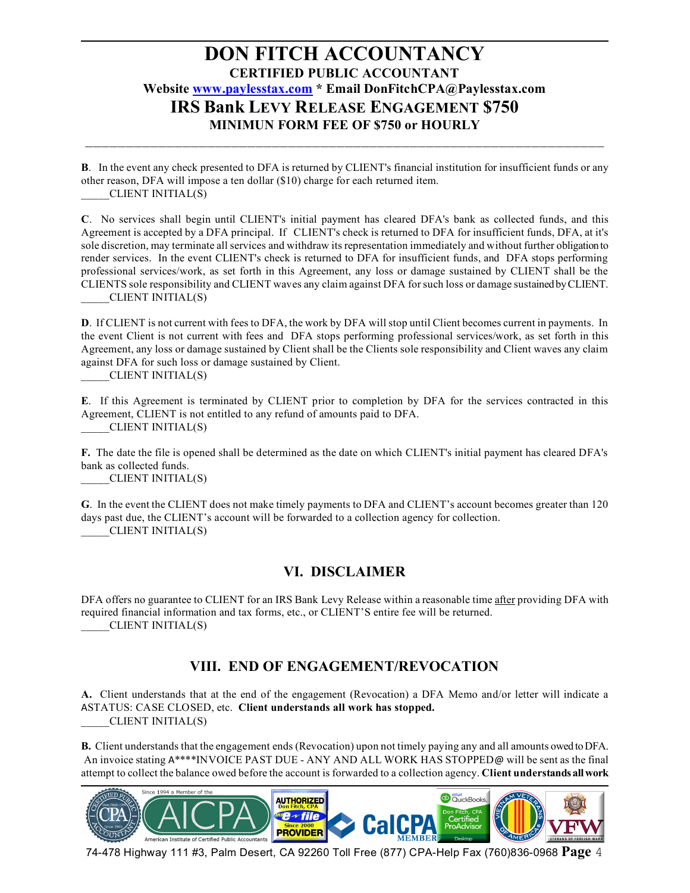**B**. In the event any check presented to DFA is returned by CLIENT's financial institution for insufficient funds or any other reason, DFA will impose a ten dollar (\$10) charge for each returned item. \_\_\_\_\_CLIENT INITIAL(S)

\_\_\_\_\_\_\_\_\_\_\_\_\_\_\_\_\_\_\_\_\_\_\_\_\_\_\_\_\_\_\_\_\_\_\_\_\_\_\_\_\_\_\_\_\_\_\_\_\_\_\_\_\_\_\_\_\_\_\_\_\_\_\_\_

**C**. No services shall begin until CLIENT's initial payment has cleared DFA's bank as collected funds, and this Agreement is accepted by a DFA principal. If CLIENT's check is returned to DFA for insufficient funds, DFA, at it's sole discretion, may terminate all services and withdraw its representation immediately and without further obligation to render services. In the event CLIENT's check is returned to DFA for insufficient funds, and DFA stops performing professional services/work, as set forth in this Agreement, any loss or damage sustained by CLIENT shall be the CLIENTS sole responsibility and CLIENT waves any claim against DFA for such loss or damage sustained by CLIENT. \_\_\_\_\_CLIENT INITIAL(S)

**D**. If CLIENT is not current with fees to DFA, the work by DFA will stop until Client becomes current in payments. In the event Client is not current with fees and DFA stops performing professional services/work, as set forth in this Agreement, any loss or damage sustained by Client shall be the Clients sole responsibility and Client waves any claim against DFA for such loss or damage sustained by Client.

\_\_\_\_\_CLIENT INITIAL(S)

**E**. If this Agreement is terminated by CLIENT prior to completion by DFA for the services contracted in this Agreement, CLIENT is not entitled to any refund of amounts paid to DFA. \_\_\_\_\_CLIENT INITIAL(S)

**F.** The date the file is opened shall be determined as the date on which CLIENT's initial payment has cleared DFA's bank as collected funds.

\_\_\_\_\_CLIENT INITIAL(S)

**G**. In the event the CLIENT does not make timely payments to DFA and CLIENT's account becomes greater than 120 days past due, the CLIENT's account will be forwarded to a collection agency for collection. \_\_\_\_\_CLIENT INITIAL(S)

#### **VI. DISCLAIMER**

DFA offers no guarantee to CLIENT for an IRS Bank Levy Release within a reasonable time after providing DFA with required financial information and tax forms, etc., or CLIENT'S entire fee will be returned. \_\_\_\_\_CLIENT INITIAL(S)

#### **VIII. END OF ENGAGEMENT/REVOCATION**

**A.** Client understands that at the end of the engagement (Revocation) a DFA Memo and/or letter will indicate a ASTATUS: CASE CLOSED, etc. **Client understands all work has stopped.** \_\_\_\_\_CLIENT INITIAL(S)

**B.** Client understands that the engagement ends (Revocation) upon not timely paying any and all amounts owed to DFA. An invoice stating A\*\*\*\*INVOICE PAST DUE - ANY AND ALL WORK HAS STOPPED@ will be sent as the final attempt to collect the balance owed before the account is forwarded to a collection agency. **Client understands all work** 

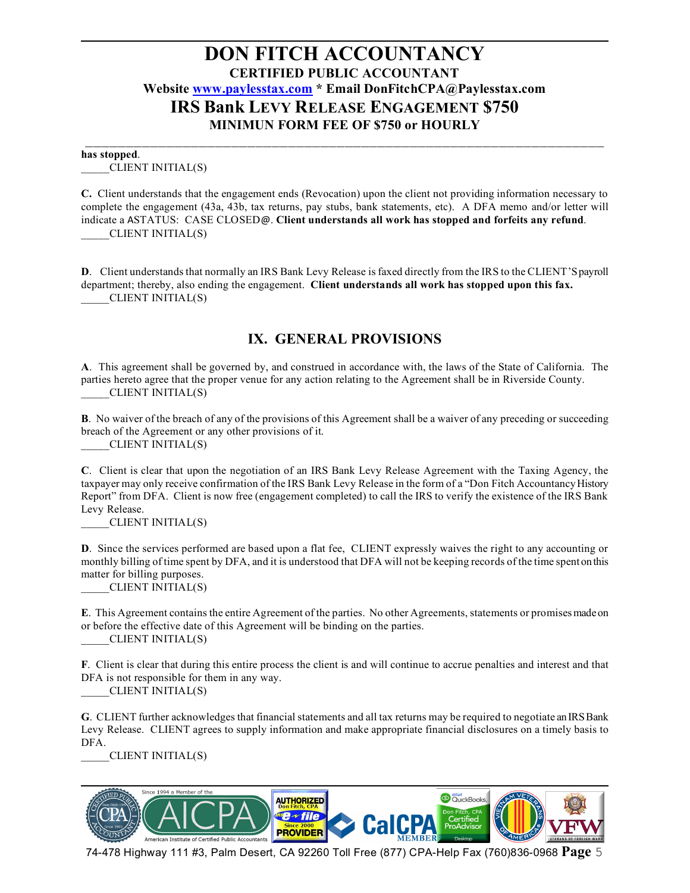#### \_\_\_\_\_\_\_\_\_\_\_\_\_\_\_\_\_\_\_\_\_\_\_\_\_\_\_\_\_\_\_\_\_\_\_\_\_\_\_\_\_\_\_\_\_\_\_\_\_\_\_\_\_\_\_\_\_\_\_\_\_\_\_\_ **has stopped**.

\_\_\_\_\_CLIENT INITIAL(S)

**C.** Client understands that the engagement ends (Revocation) upon the client not providing information necessary to complete the engagement (43a, 43b, tax returns, pay stubs, bank statements, etc). A DFA memo and/or letter will indicate a ASTATUS: CASE CLOSED@. **Client understands all work has stopped and forfeits any refund**. \_\_\_\_\_CLIENT INITIAL(S)

**D**. Client understands that normally an IRS Bank Levy Release is faxed directly from the IRS to the CLIENT'S payroll department; thereby, also ending the engagement. **Client understands all work has stopped upon this fax.** \_\_\_\_\_CLIENT INITIAL(S)

#### **IX. GENERAL PROVISIONS**

**A**. This agreement shall be governed by, and construed in accordance with, the laws of the State of California. The parties hereto agree that the proper venue for any action relating to the Agreement shall be in Riverside County. \_\_\_\_\_CLIENT INITIAL(S)

**B**. No waiver of the breach of any of the provisions of this Agreement shall be a waiver of any preceding or succeeding breach of the Agreement or any other provisions of it.

\_\_\_\_\_CLIENT INITIAL(S)

**C**. Client is clear that upon the negotiation of an IRS Bank Levy Release Agreement with the Taxing Agency, the taxpayer may only receive confirmation of the IRS Bank Levy Release in the form of a "Don Fitch Accountancy History Report" from DFA. Client is now free (engagement completed) to call the IRS to verify the existence of the IRS Bank Levy Release.

\_\_\_\_\_CLIENT INITIAL(S)

**D**. Since the services performed are based upon a flat fee, CLIENT expressly waives the right to any accounting or monthly billing of time spent by DFA, and it is understood that DFA will not be keeping records of the time spent on this matter for billing purposes.

\_\_\_\_\_CLIENT INITIAL(S)

**E**. This Agreement contains the entire Agreement of the parties. No other Agreements, statements or promises made on or before the effective date of this Agreement will be binding on the parties. \_\_\_\_\_CLIENT INITIAL(S)

**F**. Client is clear that during this entire process the client is and will continue to accrue penalties and interest and that DFA is not responsible for them in any way.

\_\_\_\_\_CLIENT INITIAL(S)

**G**. CLIENT further acknowledges that financial statements and all tax returns may be required to negotiate an IRS Bank Levy Release. CLIENT agrees to supply information and make appropriate financial disclosures on a timely basis to DFA.

\_\_\_\_\_CLIENT INITIAL(S)

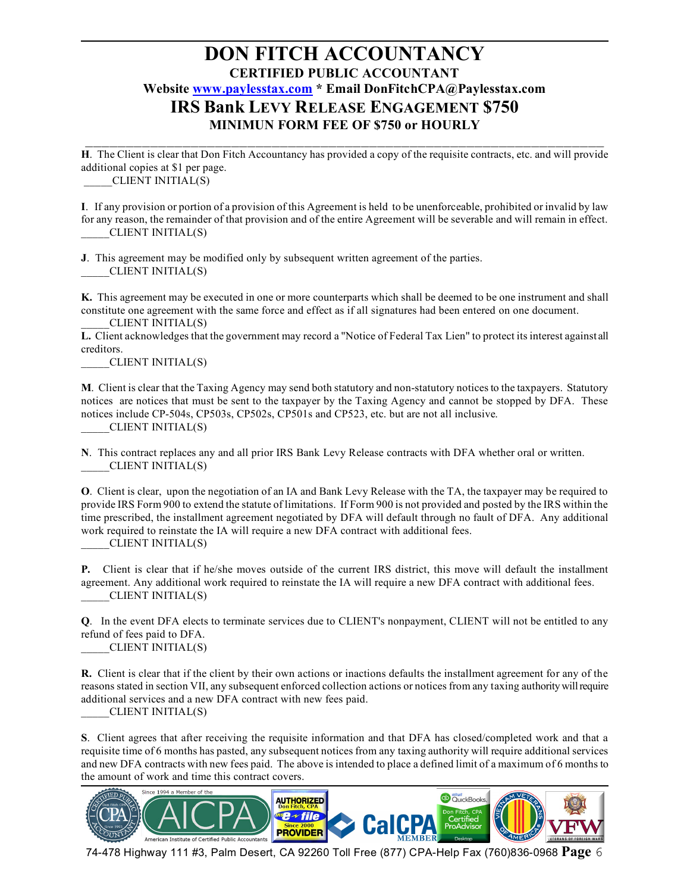\_\_\_\_\_\_\_\_\_\_\_\_\_\_\_\_\_\_\_\_\_\_\_\_\_\_\_\_\_\_\_\_\_\_\_\_\_\_\_\_\_\_\_\_\_\_\_\_\_\_\_\_\_\_\_\_\_\_\_\_\_\_\_\_ **H**. The Client is clear that Don Fitch Accountancy has provided a copy of the requisite contracts, etc. and will provide additional copies at \$1 per page. \_\_\_\_\_CLIENT INITIAL(S)

**I**. If any provision or portion of a provision of this Agreement is held to be unenforceable, prohibited or invalid by law for any reason, the remainder of that provision and of the entire Agreement will be severable and will remain in effect. \_\_\_\_\_CLIENT INITIAL(S)

**J**. This agreement may be modified only by subsequent written agreement of the parties. \_\_\_\_\_CLIENT INITIAL(S)

**K.** This agreement may be executed in one or more counterparts which shall be deemed to be one instrument and shall constitute one agreement with the same force and effect as if all signatures had been entered on one document. \_\_\_\_\_CLIENT INITIAL(S)

**L.** Client acknowledges that the government may record a "Notice of Federal Tax Lien" to protect its interest against all creditors.

\_\_\_\_\_CLIENT INITIAL(S)

**M**. Client is clear that the Taxing Agency may send both statutory and non-statutory notices to the taxpayers. Statutory notices are notices that must be sent to the taxpayer by the Taxing Agency and cannot be stopped by DFA. These notices include CP-504s, CP503s, CP502s, CP501s and CP523, etc. but are not all inclusive. CLIENT INITIAL(S)

**N**. This contract replaces any and all prior IRS Bank Levy Release contracts with DFA whether oral or written. \_\_\_\_\_CLIENT INITIAL(S)

**O**. Client is clear, upon the negotiation of an IA and Bank Levy Release with the TA, the taxpayer may be required to provide IRS Form 900 to extend the statute of limitations. If Form 900 is not provided and posted by the IRS within the time prescribed, the installment agreement negotiated by DFA will default through no fault of DFA. Any additional work required to reinstate the IA will require a new DFA contract with additional fees.

\_\_\_\_\_CLIENT INITIAL(S)

**P.** Client is clear that if he/she moves outside of the current IRS district, this move will default the installment agreement. Any additional work required to reinstate the IA will require a new DFA contract with additional fees. \_\_\_\_\_CLIENT INITIAL(S)

**Q**. In the event DFA elects to terminate services due to CLIENT's nonpayment, CLIENT will not be entitled to any refund of fees paid to DFA.

\_\_\_\_\_CLIENT INITIAL(S)

**R.** Client is clear that if the client by their own actions or inactions defaults the installment agreement for any of the reasons stated in section VII, any subsequent enforced collection actions or notices from any taxing authority will require additional services and a new DFA contract with new fees paid.

\_\_\_\_\_CLIENT INITIAL(S)

**S**. Client agrees that after receiving the requisite information and that DFA has closed/completed work and that a requisite time of 6 months has pasted, any subsequent notices from any taxing authority will require additional services and new DFA contracts with new fees paid. The above is intended to place a defined limit of a maximum of 6 months to the amount of work and time this contract covers.